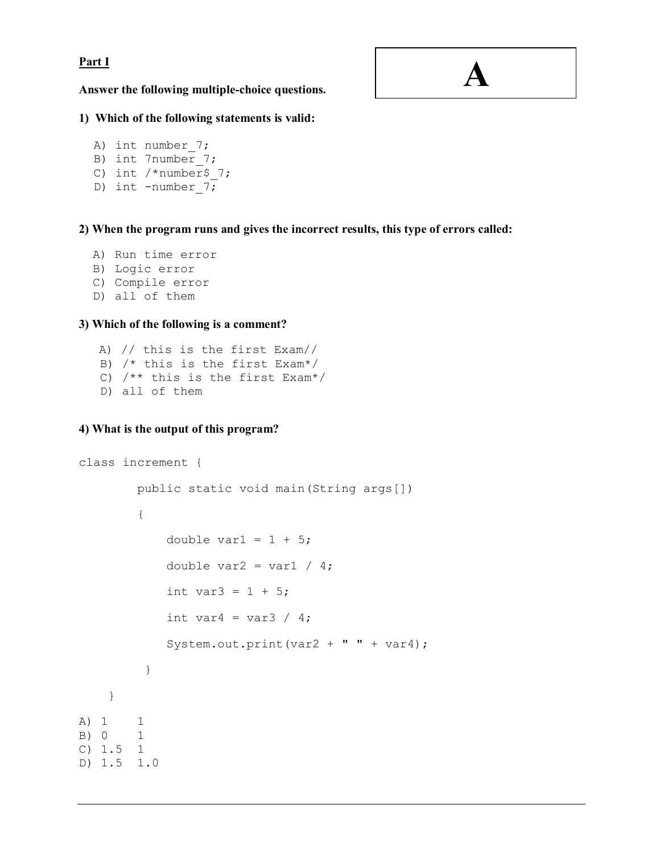## **Part I**

**A**

**Answer the following multiple-choice questions.** 

# **1) Which of the following statements is valid:**

```
A) int number 7;
B) int 7number 7;
C) int /*number 7;
D) int -number 7;
```
**2) When the program runs and gives the incorrect results, this type of errors called:** 

```
A) Run time error 
B) Logic error
```
- C) Compile error
- D) all of them

# **3) Which of the following is a comment?**

```
 A) // this is the first Exam// 
 B) /* this is the first Exam*/ 
 C) /** this is the first Exam*/ 
 D) all of them
```
# **4) What is the output of this program?**

```
class increment { 
        public static void main(String args[]) 
\{double var1 = 1 + 5;
           double var2 = var1 / 4;
           int var3 = 1 + 5;
           int var4 = var3 / 4;
            System.out.print(var2 + " " + var4); 
 } 
     } 
A) 1 1 
B) 0 1 
C) 1.5 1 
D) 1.5 1.0
```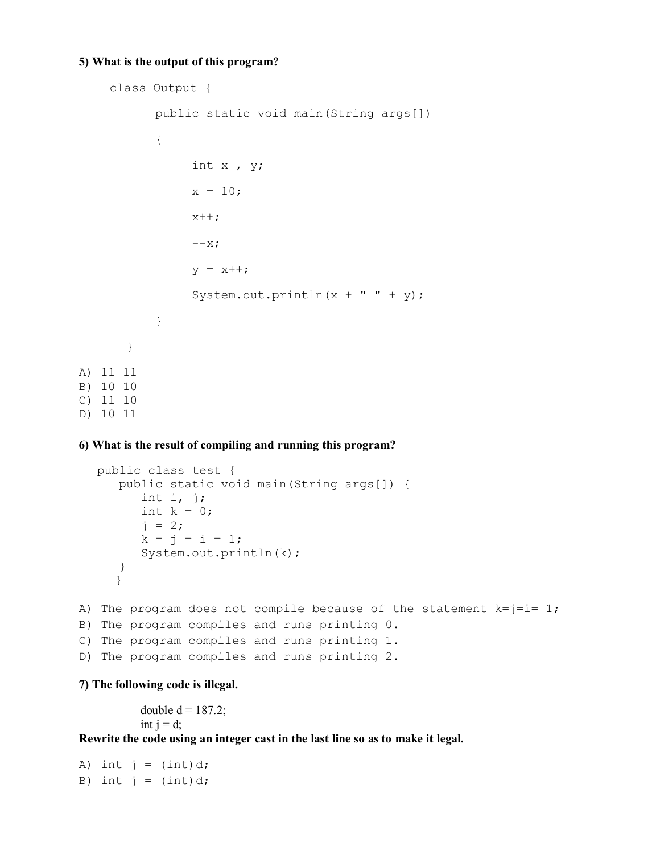#### **5) What is the output of this program?**

```
 class Output { 
           public static void main(String args[]) 
  \{ int x , y; 
               x = 10;
               x++;--x;y = x++;System.out.println(x + " " + y);
   } 
       } 
A) 11 11 
B) 10 10 
C) 11 10 
D) 10 11
```
# **6) What is the result of compiling and running this program?**

```
public class test { 
      public static void main(String args[]) { 
          int i, j; 
         int k = 0;
         j = 2;k = j = i = 1; System.out.println(k); 
      } 
     } 
A) The program does not compile because of the statement k=j=i=1;
B) The program compiles and runs printing 0. 
C) The program compiles and runs printing 1. 
D) The program compiles and runs printing 2.
```
**7) The following code is illegal.** 

double  $d = 187.2$ ; int  $i = d$ ;

**Rewrite the code using an integer cast in the last line so as to make it legal.** 

A) int  $j = (int) d;$ B) int  $j = (int) d;$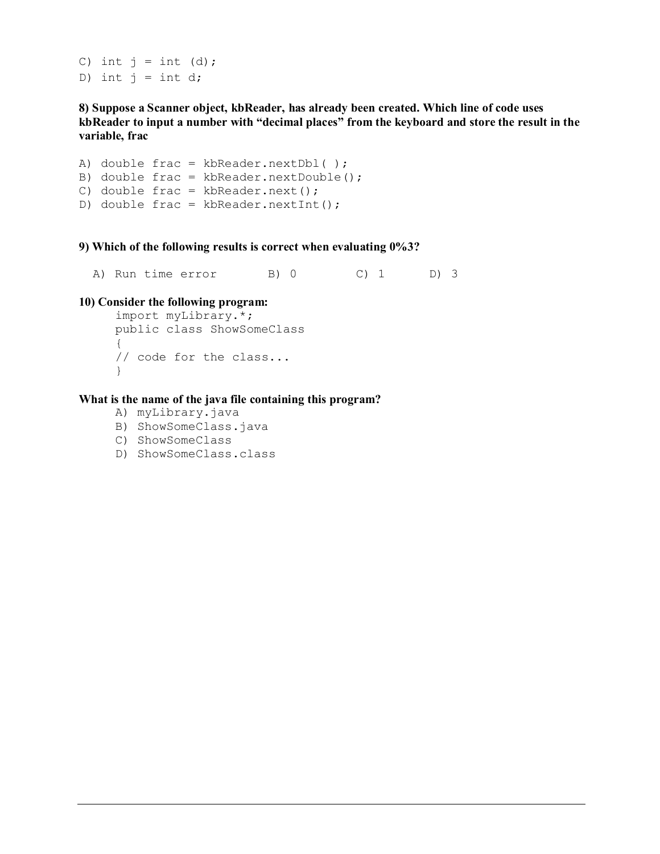C) int  $j = int (d)$ ; D) int  $j = int d$ ;

**8) Suppose a Scanner object, kbReader, has already been created. Which line of code uses kbReader to input a number with "decimal places" from the keyboard and store the result in the variable, frac**

A) double frac = kbReader.nextDbl( ); B) double frac = kbReader.nextDouble(); C) double frac = kbReader.next(); D) double frac = kbReader.nextInt();

**9) Which of the following results is correct when evaluating 0%3?** 

A) Run time error B) 0 C) 1 D) 3

#### **10) Consider the following program:**

```
import myLibrary.*; 
public class ShowSomeClass 
{ 
// code for the class... 
}
```
**What is the name of the java file containing this program?** 

- A) myLibrary.java
- B) ShowSomeClass.java
- C) ShowSomeClass
- D) ShowSomeClass.class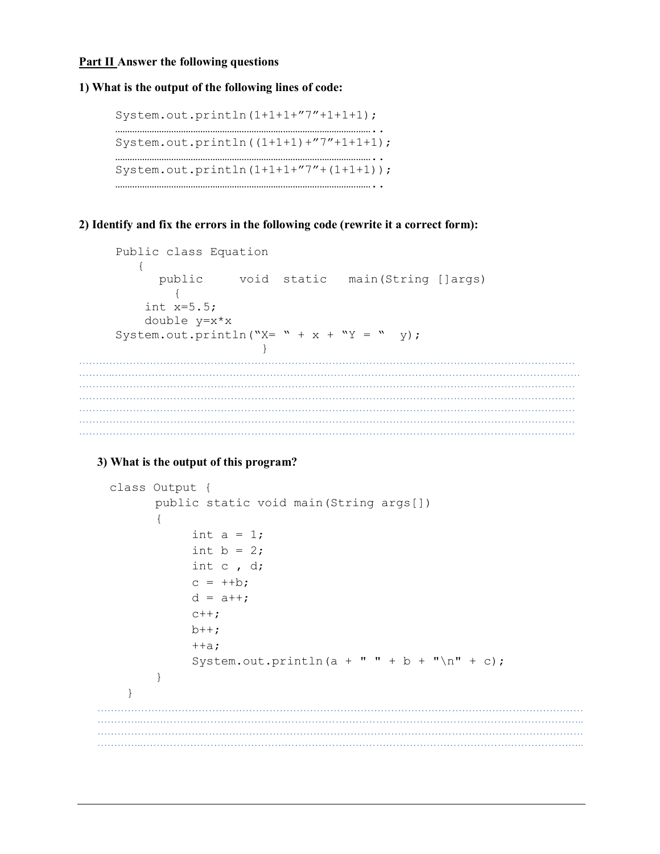## **Part II Answer the following questions**

#### **1) What is the output of the following lines of code:**

```
System.out.println(1+1+1+"7"+1+1+1); 
…………………………………………………………………………………………….. 
System.out.println((1+1+1)+"7"+1+1+1); 
…………………………………………………………………………………………….. 
System.out.println(1+1+1+"7"+(1+1+1)); 
……………………………………………………………………………………………..
```
# **2) Identify and fix the errors in the following code (rewrite it a correct form):**

```
Public class Equation 
       { 
         public void static main(String []args)
           { 
        int x=5.5; 
       double y=x*x 
   System.out.println("X= " + x + "Y = " y);
    } 
…………………………………………………………………………………………………………………………………
………..…………………………………………………………………………………………………………………………
…………………………………………………………………………………………………………………………………
…………………………………………………………………………………………………………………………………
…………………………………………………………………………………………………………………………………
…………………………………………………………………………………………………………………………………
…………………………………………………………………………………………………………………………………
```
## **3) What is the output of this program?**

```
 class Output { 
       public static void main(String args[]) 
\{int a = 1;
           int b = 2;
            int c , d; 
           c = ++b;d = a++;c++;b++;++a;System.out.println(a + " " + b + "\n\times" + c);
 } 
    } 
………………………………………………………………………………………………………………………………
…………..…………………………………………………………………………………………………………………..
      ………………………………………………………………………………………………………………………………
…………..…………………………………………………………………………………………………………………..
```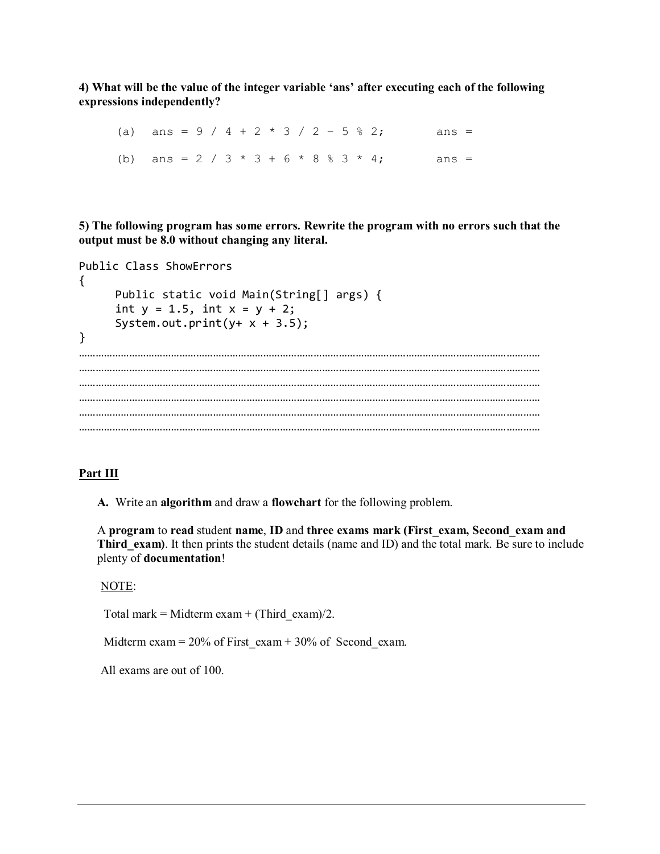**4) What will be the value of the integer variable 'ans' after executing each of the following expressions independently?**

(a) ans =  $9 / 4 + 2 * 3 / 2 - 5 * 2$ ; ans = (b) ans = 2 / 3 \* 3 + 6 \* 8 % 3 \* 4; ans =

**5) The following program has some errors. Rewrite the program with no errors such that the output must be 8.0 without changing any literal.** 

```
Public Class ShowErrors 
{ 
    Public static void Main(String[] args) { 
     int y = 1.5, int x = y + 2;
     System.out.print(y+ x + 3.5);
} 
………………………………………………………………………………………………………………………………………………… 
………………………………………………………………………………………………………………………………………………… 
      ………………………………………………………………………………………………………………………………………………… 
  ………………………………………………………………………………………………………………………………………………… 
     ………………………………………………………………………………………………………………………………………………… 
…………………………………………………………………………………………………………………………………………………
```
#### **Part III**

**A.** Write an **algorithm** and draw a **flowchart** for the following problem.

A **program** to **read** student **name**, **ID** and **three exams mark (First\_exam, Second\_exam and Third exam)**. It then prints the student details (name and ID) and the total mark. Be sure to include plenty of **documentation**!

NOTE:

Total mark = Midterm exam + (Third\_exam)/2.

Midterm exam =  $20\%$  of First\_exam + 30% of Second\_exam.

All exams are out of 100.